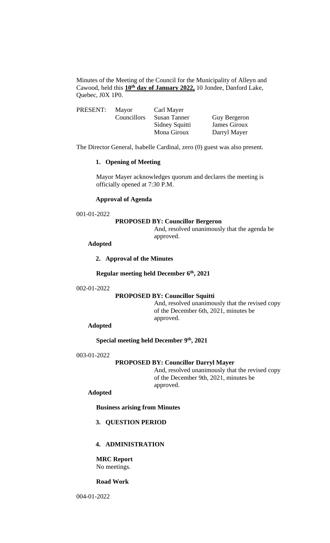Minutes of the Meeting of the Council for the Municipality of Alleyn and Cawood, held this **10th day of January 2022,** 10 Jondee, Danford Lake, Quebec, J0X 1P0.

| PRESENT: | Mayor       | Carl Mayer     |              |
|----------|-------------|----------------|--------------|
|          | Councillors | Susan Tanner   | Guy Bergeron |
|          |             | Sidney Squitti | James Giroux |
|          |             | Mona Giroux    | Darryl Mayer |

The Director General, Isabelle Cardinal, zero (0) guest was also present.

## **1. Opening of Meeting**

Mayor Mayer acknowledges quorum and declares the meeting is officially opened at 7:30 P.M.

## **Approval of Agenda**

#### 001-01-2022

#### **PROPOSED BY: Councillor Bergeron**

And, resolved unanimously that the agenda be approved.

#### **Adopted**

## **2. Approval of the Minutes**

**Regular meeting held December 6 th , 2021**

#### 002-01-2022

# **PROPOSED BY: Councillor Squitti**

And, resolved unanimously that the revised copy of the December 6th, 2021, minutes be approved.

## **Adopted**

**Special meeting held December 9 th, 2021**

## 003-01-2022

# **PROPOSED BY: Councillor Darryl Mayer**

And, resolved unanimously that the revised copy of the December 9th, 2021, minutes be approved.

# **Adopted**

**Business arising from Minutes**

#### **3. QUESTION PERIOD**

# **4. ADMINISTRATION**

**MRC Report** No meetings.

# **Road Work**

004-01-2022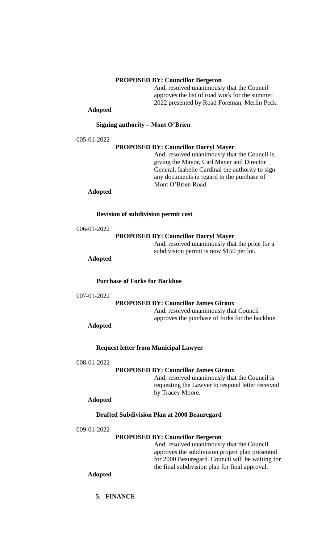## **PROPOSED BY: Councillor Bergeron**

And, resolved unanimously that the Council approves the list of road work for the summer 2022 presented by Road Foreman, Merlin Peck.

# **Adopted**

## **Signing authority – Mont O'Brien**

005-01-2022

#### **PROPOSED BY: Councillor Darryl Mayer**

And, resolved unanimously that the Council is giving the Mayor, Carl Mayer and Director General, Isabelle Cardinal the authority to sign any documents in regard to the purchase of Mont O'Brien Road.

## **Adopted**

**Revision of subdivision permit cost**

| 006-01-2022 |
|-------------|
|             |

**PROPOSED BY: Councillor Darryl Mayer**

And, resolved unanimously that the price for a subdivision permit is now \$150 per lot.

# **Adopted**

**Purchase of Forks for Backhoe**

```
007-01-2022
```
#### **PROPOSED BY: Councillor James Giroux**

And, resolved unanimously that Council approves the purchase of forks for the backhoe.

**Adopted**

# **Request letter from Municipal Lawyer**

#### 008-01-2022

#### **PROPOSED BY: Councillor James Giroux**

And, resolved unanimously that the Council is requesting the Lawyer to respond letter received by Tracey Moore.

#### **Adopted**

## **Drafted Subdivision Plan at 2000 Beauregard**

009-01-2022

#### **PROPOSED BY: Councillor Bergeron**

And, resolved unanimously that the Council approves the subdivision project plan presented for 2000 Beauregard. Council will be waiting for the final subdivision plan for final approval.

**Adopted**

**5. FINANCE**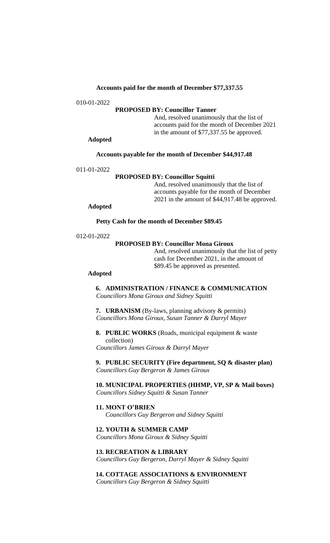## **Accounts paid for the month of December \$77,337.55**

010-01-2022

# **PROPOSED BY: Councillor Tanner**

And, resolved unanimously that the list of accounts paid for the month of December 2021 in the amount of \$77,337.55 be approved.

# **Adopted**

#### **Accounts payable for the month of December \$44,917.48**

011-01-2022

## **PROPOSED BY: Councillor Squitti**

And, resolved unanimously that the list of accounts payable for the month of December 2021 in the amount of \$44,917.48 be approved.

# **Adopted**

**Petty Cash for the month of December \$89.45**

012-01-2022

# **PROPOSED BY: Councillor Mona Giroux**

And, resolved unanimously that the list of petty cash for December 2021, in the amount of \$89.45 be approved as presented.

# **Adopted**

**6. ADMINISTRATION / FINANCE & COMMUNICATION** *Councillors Mona Giroux and Sidney Squitti*

**7. URBANISM** (By-laws, planning advisory & permits) *Councillors Mona Giroux, Susan Tanner & Darryl Mayer*

**8. PUBLIC WORKS** (Roads, municipal equipment & waste collection) *Councillors James Giroux & Darryl Mayer*

**9. PUBLIC SECURITY (Fire department, SQ & disaster plan)** *Councillors Guy Bergeron & James Giroux*

**10. MUNICIPAL PROPERTIES (HHMP, VP, SP & Mail boxes)** *Councillors Sidney Squitti & Susan Tanner*

#### **11. MONT O'BRIEN**

*Councillors Guy Bergeron and Sidney Squitti*

# **12. YOUTH & SUMMER CAMP**

*Councillors Mona Giroux & Sidney Squitti*

# **13. RECREATION & LIBRARY**

*Councillors Guy Bergeron, Darryl Mayer & Sidney Squitti*

# **14. COTTAGE ASSOCIATIONS & ENVIRONMENT**

*Councillors Guy Bergeron & Sidney Squitti*